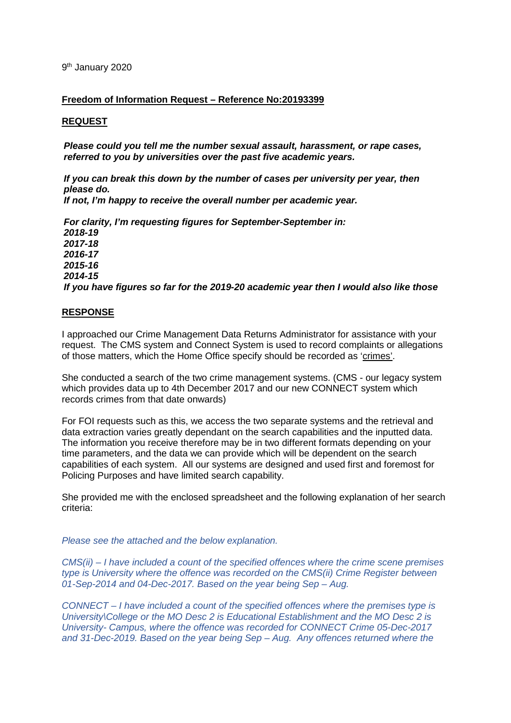9th January 2020

## **Freedom of Information Request – Reference No:20193399**

# **REQUEST**

*Please could you tell me the number sexual assault, harassment, or rape cases, referred to you by universities over the past five academic years.*

*If you can break this down by the number of cases per university per year, then please do. If not, I'm happy to receive the overall number per academic year.*

*For clarity, I'm requesting figures for September-September in: 2018-19 2017-18 2016-17 2015-16 2014-15 If you have figures so far for the 2019-20 academic year then I would also like those*

## **RESPONSE**

I approached our Crime Management Data Returns Administrator for assistance with your request. The CMS system and Connect System is used to record complaints or allegations of those matters, which the Home Office specify should be recorded as 'crimes'.

She conducted a search of the two crime management systems. (CMS - our legacy system which provides data up to 4th December 2017 and our new CONNECT system which records crimes from that date onwards)

For FOI requests such as this, we access the two separate systems and the retrieval and data extraction varies greatly dependant on the search capabilities and the inputted data. The information you receive therefore may be in two different formats depending on your time parameters, and the data we can provide which will be dependent on the search capabilities of each system. All our systems are designed and used first and foremost for Policing Purposes and have limited search capability.

She provided me with the enclosed spreadsheet and the following explanation of her search criteria:

#### *Please see the attached and the below explanation.*

*CMS(ii) – I have included a count of the specified offences where the crime scene premises type is University where the offence was recorded on the CMS(ii) Crime Register between 01-Sep-2014 and 04-Dec-2017. Based on the year being Sep – Aug.*

*CONNECT – I have included a count of the specified offences where the premises type is University\College or the MO Desc 2 is Educational Establishment and the MO Desc 2 is University- Campus, where the offence was recorded for CONNECT Crime 05-Dec-2017 and 31-Dec-2019. Based on the year being Sep – Aug. Any offences returned where the*